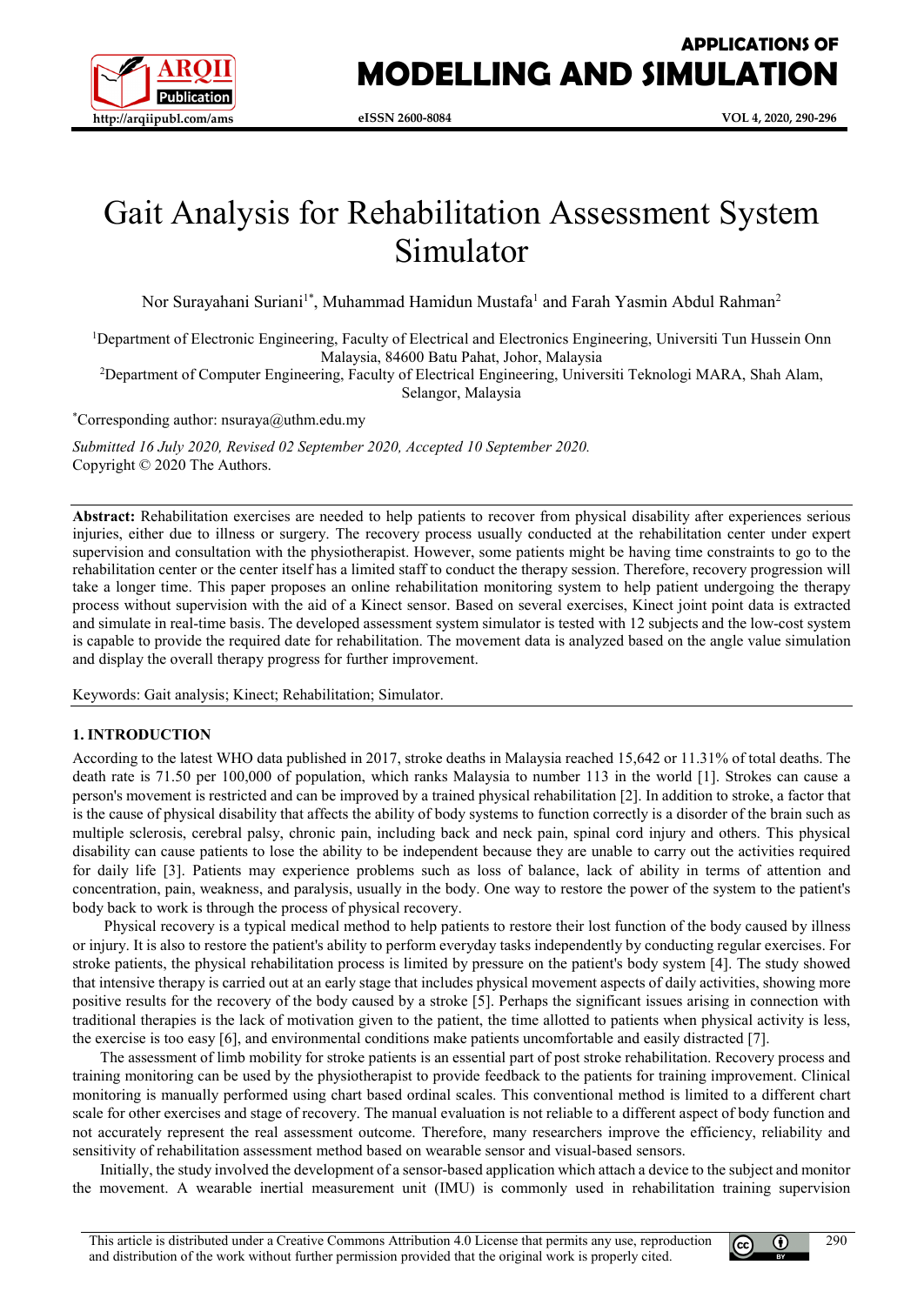

**APPLICATIONS OF MODELLING AND SIMULATION**

# Gait Analysis for Rehabilitation Assessment System Simulator

Nor Surayahani Suriani<sup>1\*</sup>, Muhammad Hamidun Mustafa<sup>1</sup> and Farah Yasmin Abdul Rahman<sup>2</sup>

<sup>1</sup>Department of Electronic Engineering, Faculty of Electrical and Electronics Engineering, Universiti Tun Hussein Onn Malaysia, 84600 Batu Pahat, Johor, Malaysia

<sup>2</sup>Department of Computer Engineering, Faculty of Electrical Engineering, Universiti Teknologi MARA, Shah Alam, Selangor, Malaysia

\* Corresponding author: nsuraya@uthm.edu.my

*Submitted 16 July 2020, Revised 02 September 2020, Accepted 10 September 2020.* Copyright © 2020 The Authors.

**Abstract:** Rehabilitation exercises are needed to help patients to recover from physical disability after experiences serious injuries, either due to illness or surgery. The recovery process usually conducted at the rehabilitation center under expert supervision and consultation with the physiotherapist. However, some patients might be having time constraints to go to the rehabilitation center or the center itself has a limited staff to conduct the therapy session. Therefore, recovery progression will take a longer time. This paper proposes an online rehabilitation monitoring system to help patient undergoing the therapy process without supervision with the aid of a Kinect sensor. Based on several exercises, Kinect joint point data is extracted and simulate in real-time basis. The developed assessment system simulator is tested with 12 subjects and the low-cost system is capable to provide the required date for rehabilitation. The movement data is analyzed based on the angle value simulation and display the overall therapy progress for further improvement.

Keywords: Gait analysis; Kinect; Rehabilitation; Simulator.

### **1. INTRODUCTION**

According to the latest WHO data published in 2017, stroke deaths in Malaysia reached 15,642 or 11.31% of total deaths. The death rate is 71.50 per 100,000 of population, which ranks Malaysia to number 113 in the world [1]. Strokes can cause a person's movement is restricted and can be improved by a trained physical rehabilitation [2]. In addition to stroke, a factor that is the cause of physical disability that affects the ability of body systems to function correctly is a disorder of the brain such as multiple sclerosis, cerebral palsy, chronic pain, including back and neck pain, spinal cord injury and others. This physical disability can cause patients to lose the ability to be independent because they are unable to carry out the activities required for daily life [3]. Patients may experience problems such as loss of balance, lack of ability in terms of attention and concentration, pain, weakness, and paralysis, usually in the body. One way to restore the power of the system to the patient's body back to work is through the process of physical recovery.

Physical recovery is a typical medical method to help patients to restore their lost function of the body caused by illness or injury. It is also to restore the patient's ability to perform everyday tasks independently by conducting regular exercises. For stroke patients, the physical rehabilitation process is limited by pressure on the patient's body system [4]. The study showed that intensive therapy is carried out at an early stage that includes physical movement aspects of daily activities, showing more positive results for the recovery of the body caused by a stroke [5]. Perhaps the significant issues arising in connection with traditional therapies is the lack of motivation given to the patient, the time allotted to patients when physical activity is less, the exercise is too easy [6], and environmental conditions make patients uncomfortable and easily distracted [7].

The assessment of limb mobility for stroke patients is an essential part of post stroke rehabilitation. Recovery process and training monitoring can be used by the physiotherapist to provide feedback to the patients for training improvement. Clinical monitoring is manually performed using chart based ordinal scales. This conventional method is limited to a different chart scale for other exercises and stage of recovery. The manual evaluation is not reliable to a different aspect of body function and not accurately represent the real assessment outcome. Therefore, many researchers improve the efficiency, reliability and sensitivity of rehabilitation assessment method based on wearable sensor and visual-based sensors.

Initially, the study involved the development of a sensor-based application which attach a device to the subject and monitor the movement. A wearable inertial measurement unit (IMU) is commonly used in rehabilitation training supervision

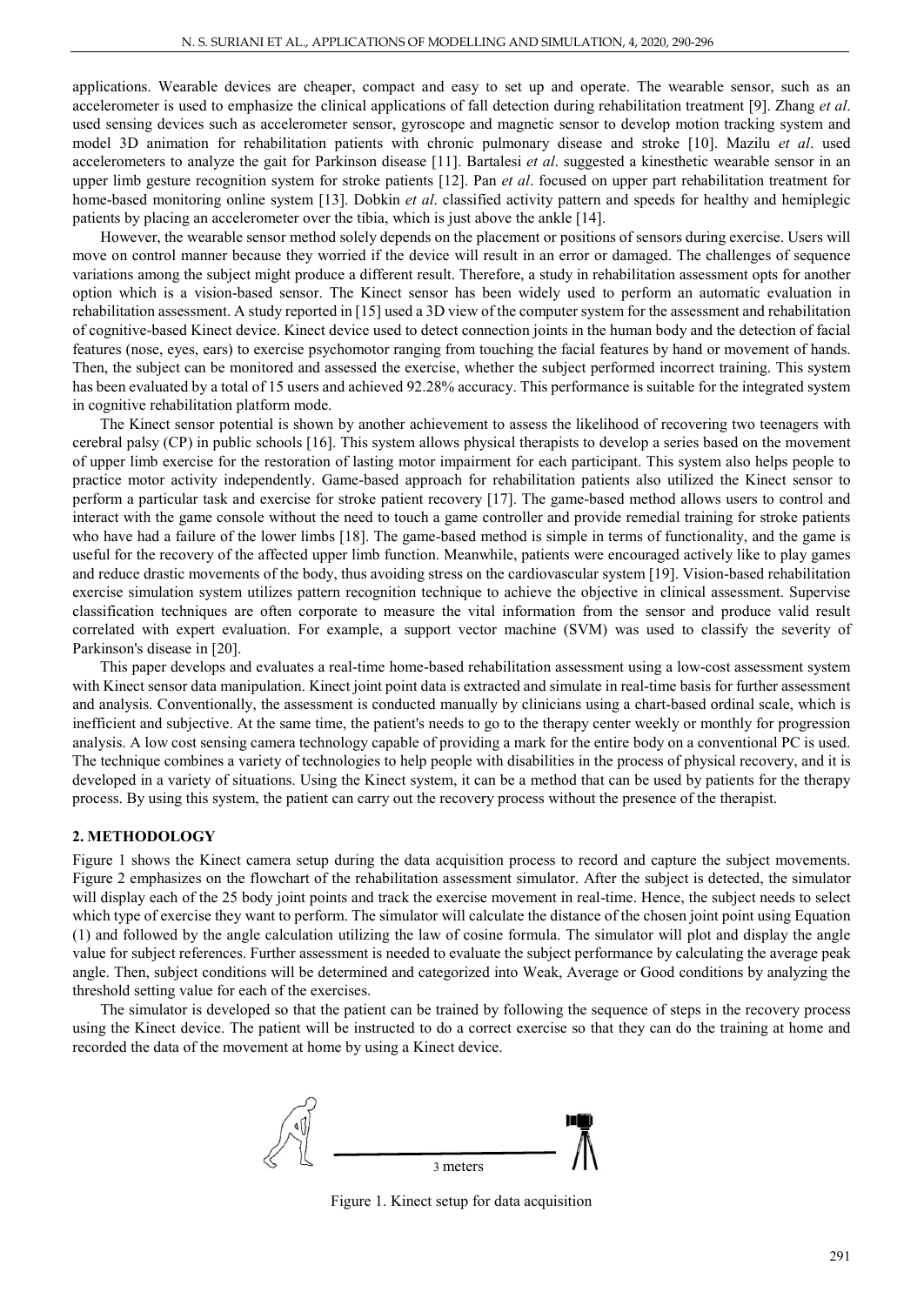applications. Wearable devices are cheaper, compact and easy to set up and operate. The wearable sensor, such as an accelerometer is used to emphasize the clinical applications of fall detection during rehabilitation treatment [9]. Zhang *et al*. used sensing devices such as accelerometer sensor, gyroscope and magnetic sensor to develop motion tracking system and model 3D animation for rehabilitation patients with chronic pulmonary disease and stroke [10]. Mazilu *et al*. used accelerometers to analyze the gait for Parkinson disease [11]. Bartalesi *et al*. suggested a kinesthetic wearable sensor in an upper limb gesture recognition system for stroke patients [12]. Pan *et al*. focused on upper part rehabilitation treatment for home-based monitoring online system [13]. Dobkin *et al*. classified activity pattern and speeds for healthy and hemiplegic patients by placing an accelerometer over the tibia, which is just above the ankle [14].

However, the wearable sensor method solely depends on the placement or positions of sensors during exercise. Users will move on control manner because they worried if the device will result in an error or damaged. The challenges of sequence variations among the subject might produce a different result. Therefore, a study in rehabilitation assessment opts for another option which is a vision-based sensor. The Kinect sensor has been widely used to perform an automatic evaluation in rehabilitation assessment. A study reported in [15] used a 3D view of the computer system for the assessment and rehabilitation of cognitive-based Kinect device. Kinect device used to detect connection joints in the human body and the detection of facial features (nose, eyes, ears) to exercise psychomotor ranging from touching the facial features by hand or movement of hands. Then, the subject can be monitored and assessed the exercise, whether the subject performed incorrect training. This system has been evaluated by a total of 15 users and achieved 92.28% accuracy. This performance is suitable for the integrated system in cognitive rehabilitation platform mode.

The Kinect sensor potential is shown by another achievement to assess the likelihood of recovering two teenagers with cerebral palsy (CP) in public schools [16]. This system allows physical therapists to develop a series based on the movement of upper limb exercise for the restoration of lasting motor impairment for each participant. This system also helps people to practice motor activity independently. Game-based approach for rehabilitation patients also utilized the Kinect sensor to perform a particular task and exercise for stroke patient recovery [17]. The game-based method allows users to control and interact with the game console without the need to touch a game controller and provide remedial training for stroke patients who have had a failure of the lower limbs [18]. The game-based method is simple in terms of functionality, and the game is useful for the recovery of the affected upper limb function. Meanwhile, patients were encouraged actively like to play games and reduce drastic movements of the body, thus avoiding stress on the cardiovascular system [19]. Vision-based rehabilitation exercise simulation system utilizes pattern recognition technique to achieve the objective in clinical assessment. Supervise classification techniques are often corporate to measure the vital information from the sensor and produce valid result correlated with expert evaluation. For example, a support vector machine (SVM) was used to classify the severity of Parkinson's disease in [20].

This paper develops and evaluates a real-time home-based rehabilitation assessment using a low-cost assessment system with Kinect sensor data manipulation. Kinect joint point data is extracted and simulate in real-time basis for further assessment and analysis. Conventionally, the assessment is conducted manually by clinicians using a chart-based ordinal scale, which is inefficient and subjective. At the same time, the patient's needs to go to the therapy center weekly or monthly for progression analysis. A low cost sensing camera technology capable of providing a mark for the entire body on a conventional PC is used. The technique combines a variety of technologies to help people with disabilities in the process of physical recovery, and it is developed in a variety of situations. Using the Kinect system, it can be a method that can be used by patients for the therapy process. By using this system, the patient can carry out the recovery process without the presence of the therapist.

#### **2. METHODOLOGY**

Figure 1 shows the Kinect camera setup during the data acquisition process to record and capture the subject movements. Figure 2 emphasizes on the flowchart of the rehabilitation assessment simulator. After the subject is detected, the simulator will display each of the 25 body joint points and track the exercise movement in real-time. Hence, the subject needs to select which type of exercise they want to perform. The simulator will calculate the distance of the chosen joint point using Equation (1) and followed by the angle calculation utilizing the law of cosine formula. The simulator will plot and display the angle value for subject references. Further assessment is needed to evaluate the subject performance by calculating the average peak angle. Then, subject conditions will be determined and categorized into Weak, Average or Good conditions by analyzing the threshold setting value for each of the exercises.

The simulator is developed so that the patient can be trained by following the sequence of steps in the recovery process using the Kinect device. The patient will be instructed to do a correct exercise so that they can do the training at home and recorded the data of the movement at home by using a Kinect device.



Figure 1. Kinect setup for data acquisition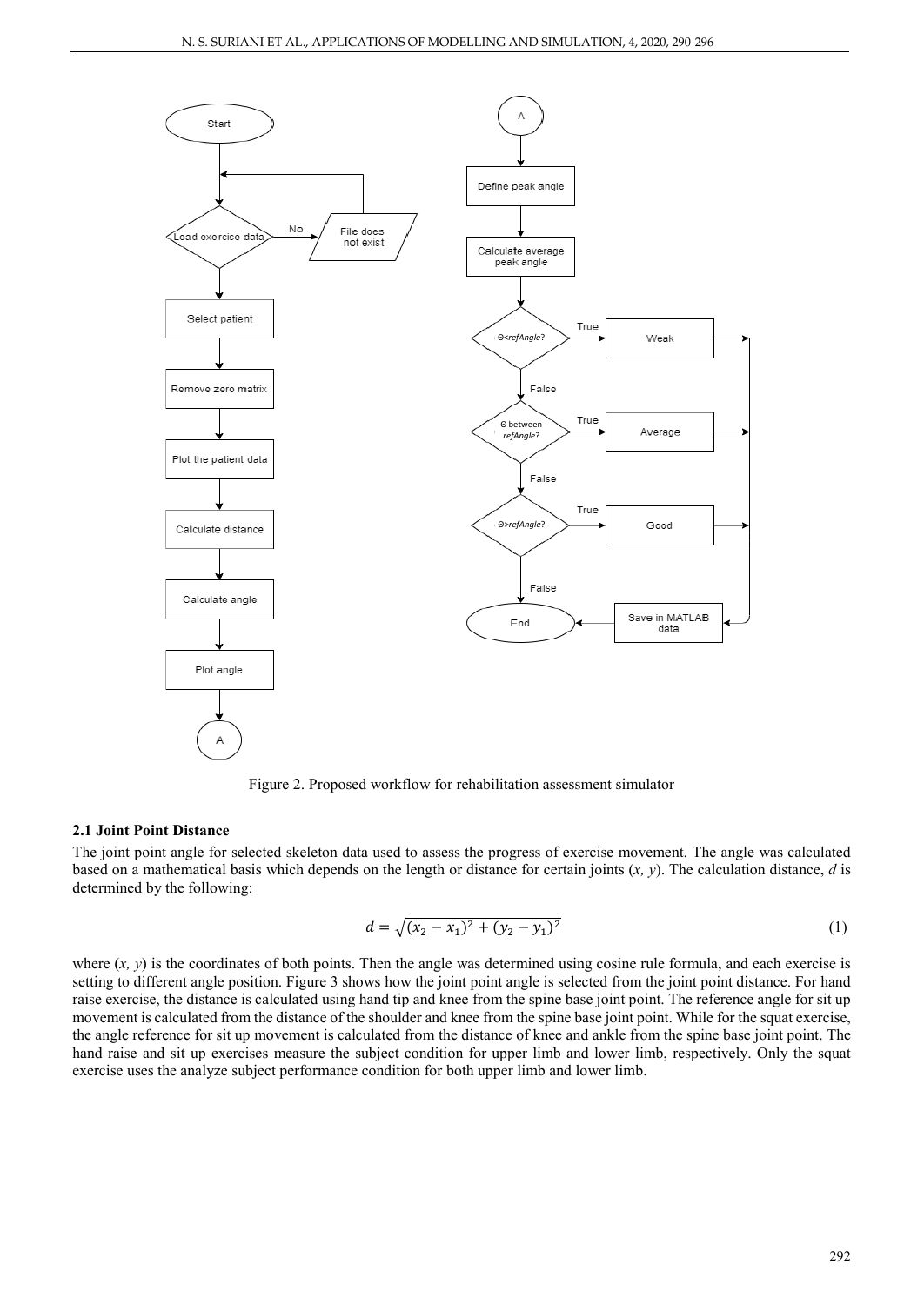

Figure 2. Proposed workflow for rehabilitation assessment simulator

#### **2.1 Joint Point Distance**

The joint point angle for selected skeleton data used to assess the progress of exercise movement. The angle was calculated based on a mathematical basis which depends on the length or distance for certain joints (*x, y*). The calculation distance, *d* is determined by the following:

$$
d = \sqrt{(x_2 - x_1)^2 + (y_2 - y_1)^2} \tag{1}
$$

where  $(x, y)$  is the coordinates of both points. Then the angle was determined using cosine rule formula, and each exercise is setting to different angle position. Figure 3 shows how the joint point angle is selected from the joint point distance. For hand raise exercise, the distance is calculated using hand tip and knee from the spine base joint point. The reference angle for sit up movement is calculated from the distance of the shoulder and knee from the spine base joint point. While for the squat exercise, the angle reference for sit up movement is calculated from the distance of knee and ankle from the spine base joint point. The hand raise and sit up exercises measure the subject condition for upper limb and lower limb, respectively. Only the squat exercise uses the analyze subject performance condition for both upper limb and lower limb.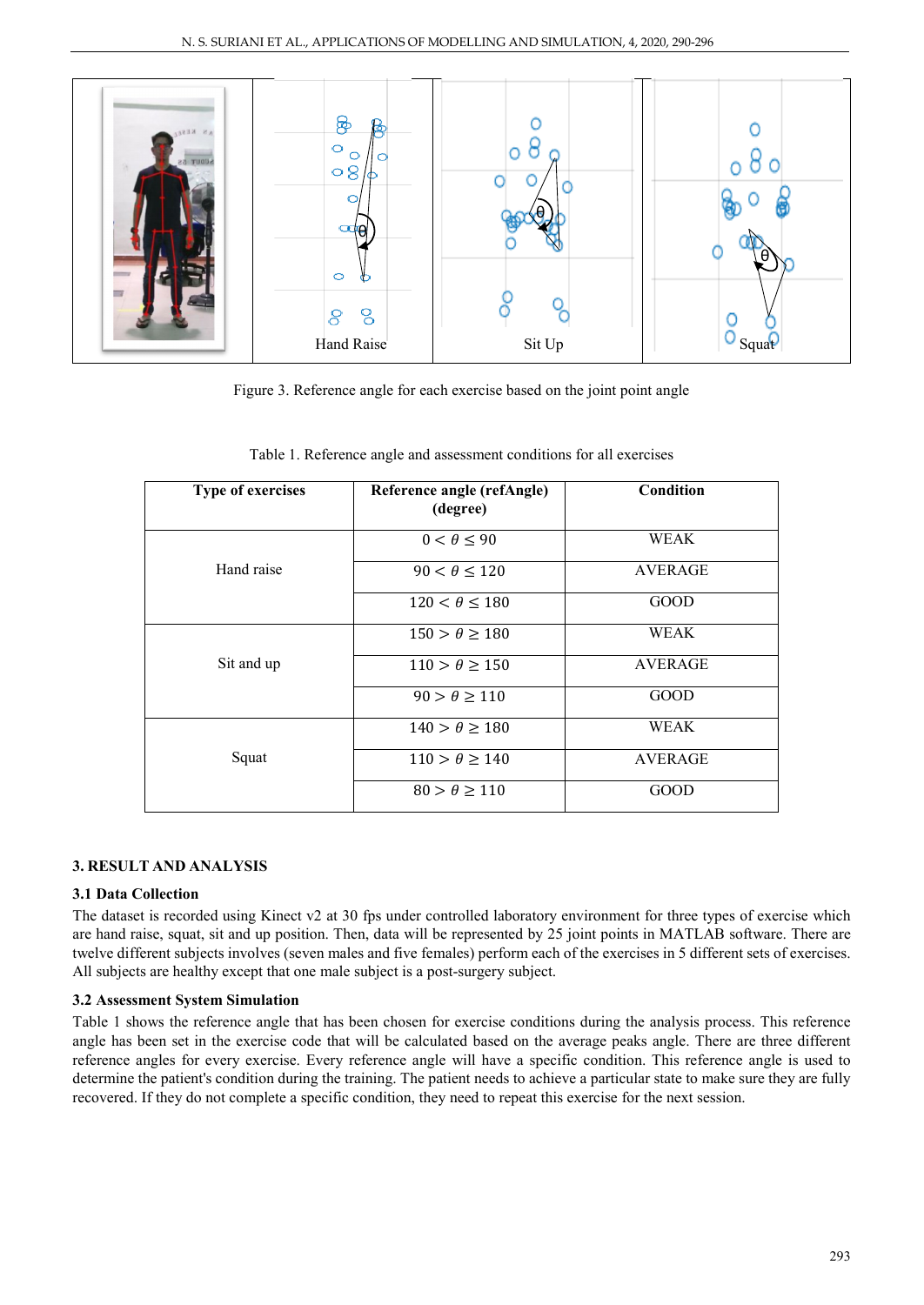

Figure 3. Reference angle for each exercise based on the joint point angle

| Type of exercises | Reference angle (refAngle)<br>(degree) | Condition      |
|-------------------|----------------------------------------|----------------|
| Hand raise        | $0 < \theta \leq 90$                   | WEAK           |
|                   | $90 < \theta \leq 120$                 | <b>AVERAGE</b> |
|                   | $120 < \theta \le 180$                 | GOOD           |
| Sit and up        | $150 > \theta \ge 180$                 | WEAK           |
|                   | $110 > \theta \ge 150$                 | <b>AVERAGE</b> |
|                   | $90 > \theta \ge 110$                  | GOOD           |
| Squat             | $140 > \theta \ge 180$                 | <b>WEAK</b>    |
|                   | $110 > \theta \ge 140$                 | <b>AVERAGE</b> |
|                   | $80 > \theta \ge 110$                  | GOOD           |

Table 1. Reference angle and assessment conditions for all exercises

# **3. RESULT AND ANALYSIS**

# **3.1 Data Collection**

The dataset is recorded using Kinect  $v^2$  at 30 fps under controlled laboratory environment for three types of exercise which are hand raise, squat, sit and up position. Then, data will be represented by 25 joint points in MATLAB software. There are twelve different subjects involves (seven males and five females) perform each of the exercises in 5 different sets of exercises. All subjects are healthy except that one male subject is a post-surgery subject.

# **3.2 Assessment System Simulation**

Table 1 shows the reference angle that has been chosen for exercise conditions during the analysis process. This reference angle has been set in the exercise code that will be calculated based on the average peaks angle. There are three different reference angles for every exercise. Every reference angle will have a specific condition. This reference angle is used to determine the patient's condition during the training. The patient needs to achieve a particular state to make sure they are fully recovered. If they do not complete a specific condition, they need to repeat this exercise for the next session.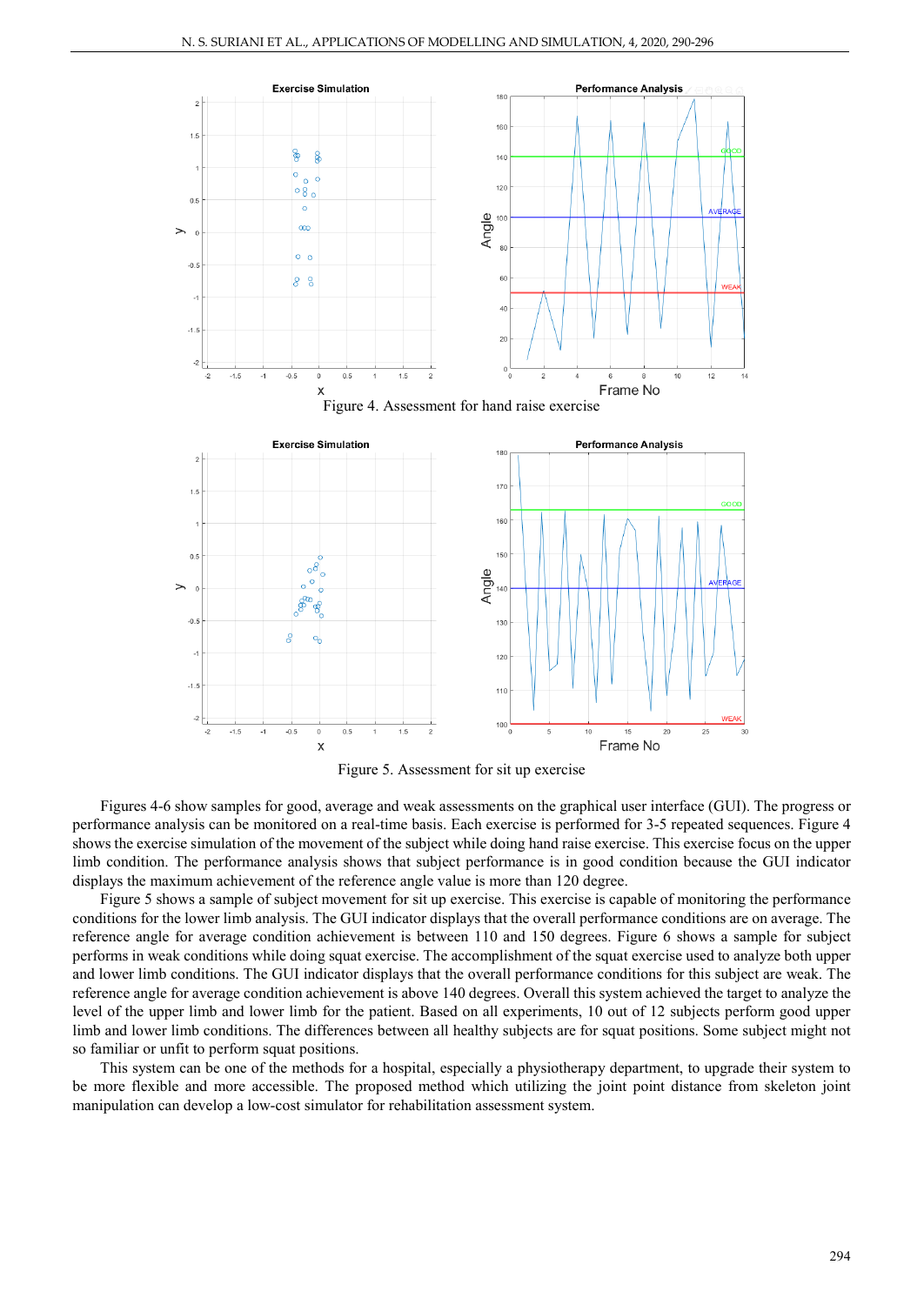

Figure 5. Assessment for sit up exercise

Figures 4-6 show samples for good, average and weak assessments on the graphical user interface (GUI). The progress or performance analysis can be monitored on a real-time basis. Each exercise is performed for 3-5 repeated sequences. Figure 4 shows the exercise simulation of the movement of the subject while doing hand raise exercise. This exercise focus on the upper limb condition. The performance analysis shows that subject performance is in good condition because the GUI indicator displays the maximum achievement of the reference angle value is more than 120 degree.

Figure 5 shows a sample of subject movement for sit up exercise. This exercise is capable of monitoring the performance conditions for the lower limb analysis. The GUI indicator displays that the overall performance conditions are on average. The reference angle for average condition achievement is between 110 and 150 degrees. Figure 6 shows a sample for subject performs in weak conditions while doing squat exercise. The accomplishment of the squat exercise used to analyze both upper and lower limb conditions. The GUI indicator displays that the overall performance conditions for this subject are weak. The reference angle for average condition achievement is above 140 degrees. Overall this system achieved the target to analyze the level of the upper limb and lower limb for the patient. Based on all experiments, 10 out of 12 subjects perform good upper limb and lower limb conditions. The differences between all healthy subjects are for squat positions. Some subject might not so familiar or unfit to perform squat positions.

This system can be one of the methods for a hospital, especially a physiotherapy department, to upgrade their system to be more flexible and more accessible. The proposed method which utilizing the joint point distance from skeleton joint manipulation can develop a low-cost simulator for rehabilitation assessment system.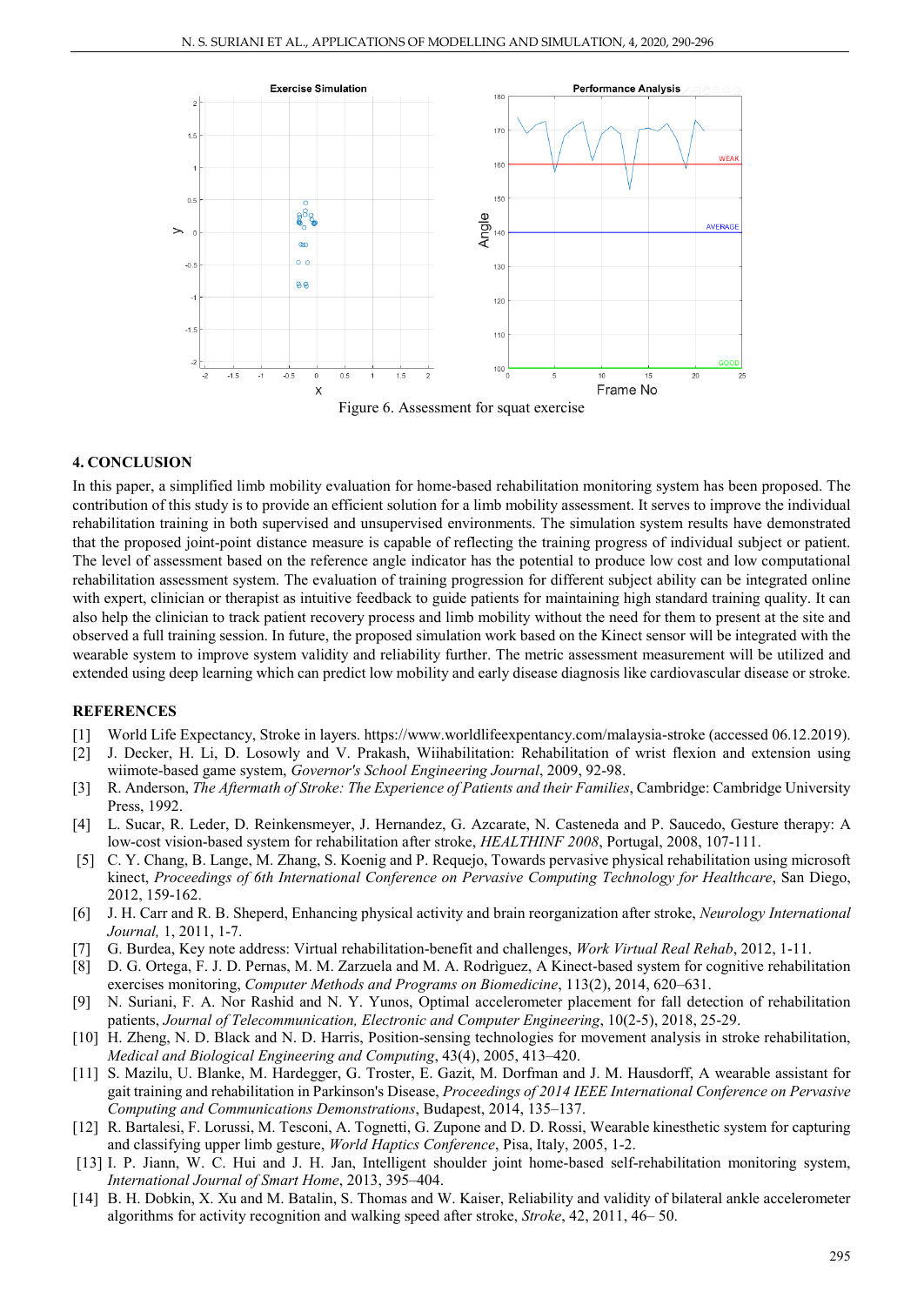

## **4. CONCLUSION**

In this paper, a simplified limb mobility evaluation for home-based rehabilitation monitoring system has been proposed. The contribution of this study is to provide an efficient solution for a limb mobility assessment. It serves to improve the individual rehabilitation training in both supervised and unsupervised environments. The simulation system results have demonstrated that the proposed joint-point distance measure is capable of reflecting the training progress of individual subject or patient. The level of assessment based on the reference angle indicator has the potential to produce low cost and low computational rehabilitation assessment system. The evaluation of training progression for different subject ability can be integrated online with expert, clinician or therapist as intuitive feedback to guide patients for maintaining high standard training quality. It can also help the clinician to track patient recovery process and limb mobility without the need for them to present at the site and observed a full training session. In future, the proposed simulation work based on the Kinect sensor will be integrated with the wearable system to improve system validity and reliability further. The metric assessment measurement will be utilized and extended using deep learning which can predict low mobility and early disease diagnosis like cardiovascular disease or stroke.

#### **REFERENCES**

- [1] World Life Expectancy, Stroke in layers. https://www.worldlifeexpentancy.com/malaysia-stroke (accessed 06.12.2019).
- [2] J. Decker, H. Li, D. Losowly and V. Prakash, Wiihabilitation: Rehabilitation of wrist flexion and extension using wiimote-based game system, *Governor's School Engineering Journal*, 2009, 92-98.
- [3] R. Anderson, *The Aftermath of Stroke: The Experience of Patients and their Families*, Cambridge: Cambridge University Press, 1992.
- [4] L. Sucar, R. Leder, D. Reinkensmeyer, J. Hernandez, G. Azcarate, N. Casteneda and P. Saucedo, Gesture therapy: A low-cost vision-based system for rehabilitation after stroke, *HEALTHINF 2008*, Portugal, 2008, 107-111.
- [5] C. Y. Chang, B. Lange, M. Zhang, S. Koenig and P. Requejo, Towards pervasive physical rehabilitation using microsoft kinect, *Proceedings of 6th International Conference on Pervasive Computing Technology for Healthcare*, San Diego, 2012, 159-162.
- [6] J. H. Carr and R. B. Sheperd, Enhancing physical activity and brain reorganization after stroke, *Neurology International Journal,* 1, 2011, 1-7.
- [7] G. Burdea, Key note address: Virtual rehabilitation-benefit and challenges, *Work Virtual Real Rehab*, 2012, 1-11.
- [8] D. G. Ortega, F. J. D. Pernas, M. M. Zarzuela and M. A. Rodrìguez, A Kinect-based system for cognitive rehabilitation exercises monitoring, *Computer Methods and Programs on Biomedicine*, 113(2), 2014, 620–631.
- [9] N. Suriani, F. A. Nor Rashid and N. Y. Yunos, Optimal accelerometer placement for fall detection of rehabilitation patients, *Journal of Telecommunication, Electronic and Computer Engineering*, 10(2-5), 2018, 25-29.
- [10] H. Zheng, N. D. Black and N. D. Harris, Position-sensing technologies for movement analysis in stroke rehabilitation, *Medical and Biological Engineering and Computing*, 43(4), 2005, 413–420.
- [11] S. Mazilu, U. Blanke, M. Hardegger, G. Troster, E. Gazit, M. Dorfman and J. M. Hausdorff, A wearable assistant for gait training and rehabilitation in Parkinson's Disease, *Proceedings of 2014 IEEE International Conference on Pervasive Computing and Communications Demonstrations*, Budapest, 2014, 135–137.
- [12] R. Bartalesi, F. Lorussi, M. Tesconi, A. Tognetti, G. Zupone and D. D. Rossi, Wearable kinesthetic system for capturing and classifying upper limb gesture, *World Haptics Conference*, Pisa, Italy, 2005, 1-2.
- [13] I. P. Jiann, W. C. Hui and J. H. Jan, Intelligent shoulder joint home-based self-rehabilitation monitoring system, *International Journal of Smart Home*, 2013, 395–404.
- [14] B. H. Dobkin, X. Xu and M. Batalin, S. Thomas and W. Kaiser, Reliability and validity of bilateral ankle accelerometer algorithms for activity recognition and walking speed after stroke, *Stroke*, 42, 2011, 46– 50.